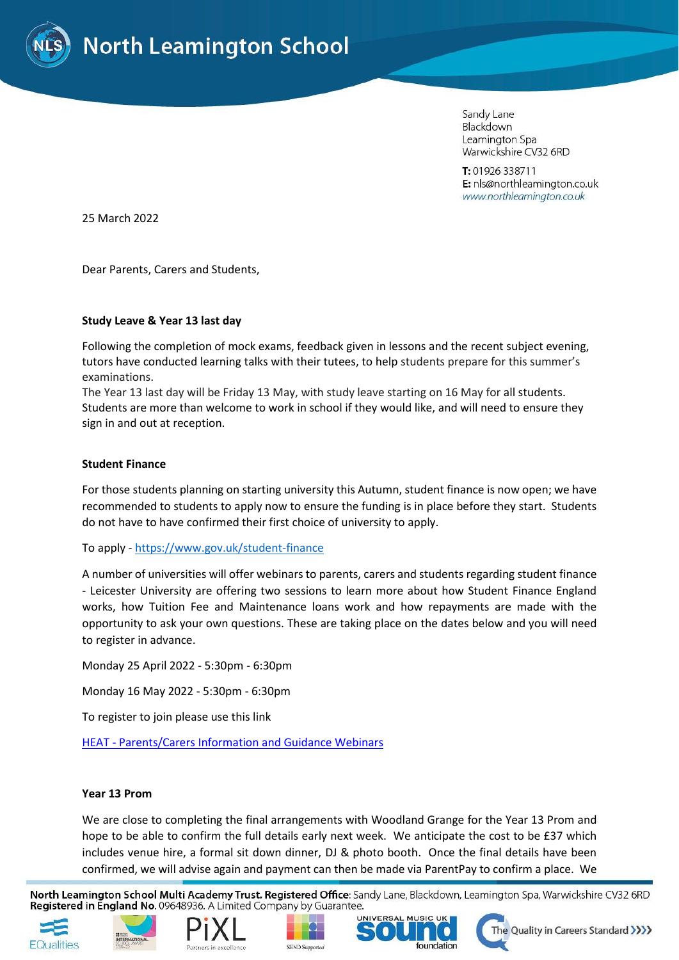

Sandy Lane Blackdown Leamington Spa Warwickshire CV32 6RD

T: 01926 338711 E: nls@northleamington.co.uk www.northleamington.co.uk

25 March 2022

Dear Parents, Carers and Students,

## **Study Leave & Year 13 last day**

Following the completion of mock exams, feedback given in lessons and the recent subject evening, tutors have conducted learning talks with their tutees, to help students prepare for this summer's examinations.

The Year 13 last day will be Friday 13 May, with study leave starting on 16 May for all students. Students are more than welcome to work in school if they would like, and will need to ensure they sign in and out at reception.

## **Student Finance**

For those students planning on starting university this Autumn, student finance is now open; we have recommended to students to apply now to ensure the funding is in place before they start. Students do not have to have confirmed their first choice of university to apply.

To apply - <https://www.gov.uk/student-finance>

A number of universities will offer webinars to parents, carers and students regarding student finance - Leicester University are offering two sessions to learn more about how Student Finance England works, how Tuition Fee and Maintenance loans work and how repayments are made with the opportunity to ask your own questions. These are taking place on the dates below and you will need to register in advance.

Monday 25 April 2022 - 5:30pm - 6:30pm

Monday 16 May 2022 - 5:30pm - 6:30pm

To register to join please use this link

HEAT - [Parents/Carers Information and Guidance Webinars](https://data.heat.ac.uk/event/apply/le/parentscarers-information-and-guidance-webinars?dm_i=I8Y,7SBCQ,7QVQEM,VRBNS,1)

#### **Year 13 Prom**

We are close to completing the final arrangements with Woodland Grange for the Year 13 Prom and hope to be able to confirm the full details early next week. We anticipate the cost to be £37 which includes venue hire, a formal sit down dinner, DJ & photo booth. Once the final details have been confirmed, we will advise again and payment can then be made via ParentPay to confirm a place. We

North Leamington School Multi Academy Trust. Registered Office: Sandy Lane, Blackdown, Leamington Spa, Warwickshire CV32 6RD Registered in England No. 09648936. A Limited Company by Guarantee.